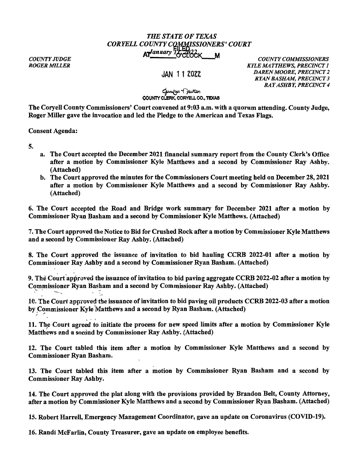## *THE STATE OF TEXAS CORYELLCOUNTYC~~ISSJONERS'COURT*  Ar<sup>*January 14* CCLOCK M *COUNTY COMMISSIONERS*</sup>

*COUNTY JUDGE ROGER MILLER* 

## JAN 11 2022

*KYLE MATTHEWS, PRECINCT 1 DAREN MOORE, PRECINCT 2 RYAN BASHAM, PRECINCT 3 RAY ASHBY, PRECINCT 4* 

## **COUNTY CLERK,**  ~~ CORYELL **CO., TEXAS**

The Coryell County Commissioners' Court convened at 9:03 a.m. with a quorum attending. County Judge, Roger Miller gave the invocation and led the Pledge to the American and Texas Flags.

Consent Agenda:

5.

- a. The Court accepted the December 2021 financial summary report from the County Clerk's Office after a motion by Commissioner Kyle Matthews and a second by Commissioner Ray Ashby. (Attached)
- b. The Court approved the minutes for the Commissioners Court meeting held on December 28, 2021 after a motion by Commissioner Kyle Matthews and a second by Commissioner Ray Ashby. (Attached)

6. The Court accepted the Road and Bridge work summary for December 2021 after a motion by Commissioner Ryan Basham and a second by Commissioner Kyle Matthews. (Attached)

7. The Court approved the Notice to Bid for Crushed Rock after a motion by Commissioner Kyle Matthews and a second by Commissioner Ray Ashby. (Attached)

8. The Court approved the issuance of invitation to bid hauling CCRB 2022-01 after a motion by Commissioner Ray Ashby and a second by Commissioner Ryan Basham. (Attached)

9. The Court approved the issuance of invitation to bid paving aggregate CCRB 2022-02 after a motion by Commissioner Ryan Basham and a second by Commissioner Ray Ashby. (Attached)

10. The Court approved the issuance of invitation to bid paving oil products CCRB 2022-03 after a motion by Commissioner Kyle-Matthews and a second by Ryan Basham. (Attached)

11. The Court agreed to initiate the process for new speed limits after a motion by Commissioner Kyle Matthews and a second by Commissioner Ray Ashby. (Attached)

12. The Court tabled this item after a motion by Commissioner Kyle Matthews and a second by Commissioner Ryan Basham.

13. The Court tabled this item after a motion by Commissioner Ryan Basham and a second by Commissioner Ray Ashby.

14. The Court approved the plat along with the provisions provided by Brandon Belt, County Attorney, after a motion by Commissioner Kyle Matthews and a second by Commissioner Ryan Basham. (Attached)

15. Robert Harrell, Emergency Management Coordinator, gave an update on Coronavirus (COVID-19).

16. Randi McFarlin, County Treasurer, gave an update on employee benefits.